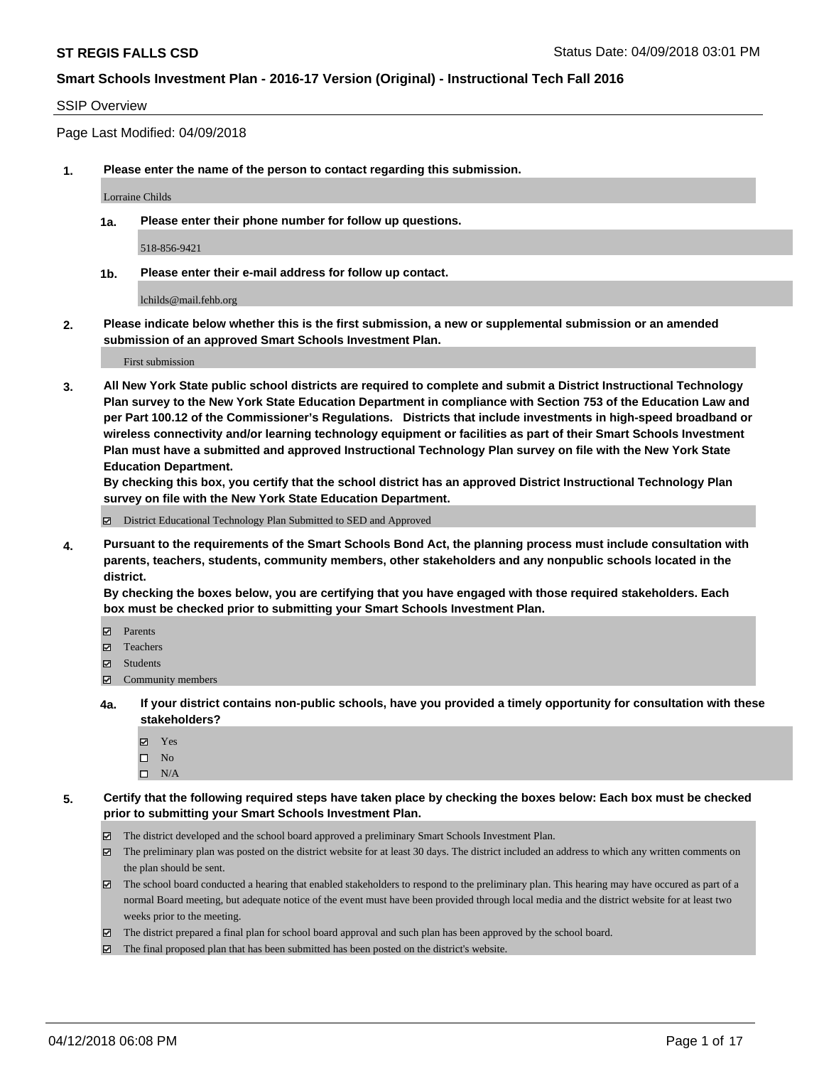#### SSIP Overview

Page Last Modified: 04/09/2018

**1. Please enter the name of the person to contact regarding this submission.**

Lorraine Childs

**1a. Please enter their phone number for follow up questions.**

518-856-9421

**1b. Please enter their e-mail address for follow up contact.**

lchilds@mail.fehb.org

**2. Please indicate below whether this is the first submission, a new or supplemental submission or an amended submission of an approved Smart Schools Investment Plan.**

First submission

**3. All New York State public school districts are required to complete and submit a District Instructional Technology Plan survey to the New York State Education Department in compliance with Section 753 of the Education Law and per Part 100.12 of the Commissioner's Regulations. Districts that include investments in high-speed broadband or wireless connectivity and/or learning technology equipment or facilities as part of their Smart Schools Investment Plan must have a submitted and approved Instructional Technology Plan survey on file with the New York State Education Department.** 

**By checking this box, you certify that the school district has an approved District Instructional Technology Plan survey on file with the New York State Education Department.**

District Educational Technology Plan Submitted to SED and Approved

**4. Pursuant to the requirements of the Smart Schools Bond Act, the planning process must include consultation with parents, teachers, students, community members, other stakeholders and any nonpublic schools located in the district.** 

**By checking the boxes below, you are certifying that you have engaged with those required stakeholders. Each box must be checked prior to submitting your Smart Schools Investment Plan.**

- Parents
- Teachers
- Students
- $\Xi$  Community members
- **4a. If your district contains non-public schools, have you provided a timely opportunity for consultation with these stakeholders?**
	- Yes
	- $\square$  No
	- $\square$  N/A
- **5. Certify that the following required steps have taken place by checking the boxes below: Each box must be checked prior to submitting your Smart Schools Investment Plan.**
	- The district developed and the school board approved a preliminary Smart Schools Investment Plan.
	- $\boxtimes$  The preliminary plan was posted on the district website for at least 30 days. The district included an address to which any written comments on the plan should be sent.
	- $\boxtimes$  The school board conducted a hearing that enabled stakeholders to respond to the preliminary plan. This hearing may have occured as part of a normal Board meeting, but adequate notice of the event must have been provided through local media and the district website for at least two weeks prior to the meeting.
	- The district prepared a final plan for school board approval and such plan has been approved by the school board.
	- $\boxtimes$  The final proposed plan that has been submitted has been posted on the district's website.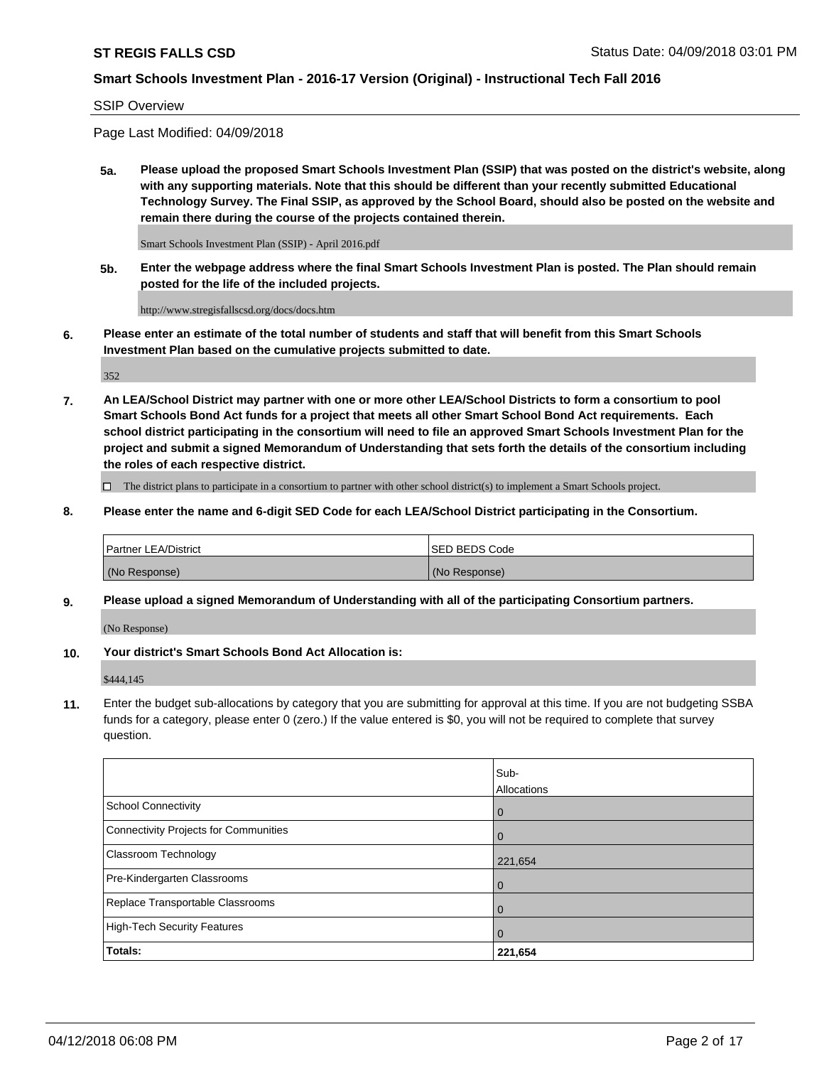#### SSIP Overview

Page Last Modified: 04/09/2018

**5a. Please upload the proposed Smart Schools Investment Plan (SSIP) that was posted on the district's website, along with any supporting materials. Note that this should be different than your recently submitted Educational Technology Survey. The Final SSIP, as approved by the School Board, should also be posted on the website and remain there during the course of the projects contained therein.**

Smart Schools Investment Plan (SSIP) - April 2016.pdf

**5b. Enter the webpage address where the final Smart Schools Investment Plan is posted. The Plan should remain posted for the life of the included projects.**

http://www.stregisfallscsd.org/docs/docs.htm

**6. Please enter an estimate of the total number of students and staff that will benefit from this Smart Schools Investment Plan based on the cumulative projects submitted to date.**

352

**7. An LEA/School District may partner with one or more other LEA/School Districts to form a consortium to pool Smart Schools Bond Act funds for a project that meets all other Smart School Bond Act requirements. Each school district participating in the consortium will need to file an approved Smart Schools Investment Plan for the project and submit a signed Memorandum of Understanding that sets forth the details of the consortium including the roles of each respective district.**

 $\Box$  The district plans to participate in a consortium to partner with other school district(s) to implement a Smart Schools project.

**8. Please enter the name and 6-digit SED Code for each LEA/School District participating in the Consortium.**

| <b>Partner LEA/District</b> | <b>ISED BEDS Code</b> |
|-----------------------------|-----------------------|
| (No Response)               | (No Response)         |

#### **9. Please upload a signed Memorandum of Understanding with all of the participating Consortium partners.**

(No Response)

**10. Your district's Smart Schools Bond Act Allocation is:**

\$444,145

**11.** Enter the budget sub-allocations by category that you are submitting for approval at this time. If you are not budgeting SSBA funds for a category, please enter 0 (zero.) If the value entered is \$0, you will not be required to complete that survey question.

|                                              | Sub-<br>Allocations |
|----------------------------------------------|---------------------|
| <b>School Connectivity</b>                   | $\mathbf 0$         |
| <b>Connectivity Projects for Communities</b> | 0                   |
| Classroom Technology                         | 221,654             |
| Pre-Kindergarten Classrooms                  | $\Omega$            |
| Replace Transportable Classrooms             | 0                   |
| <b>High-Tech Security Features</b>           | 0                   |
| Totals:                                      | 221,654             |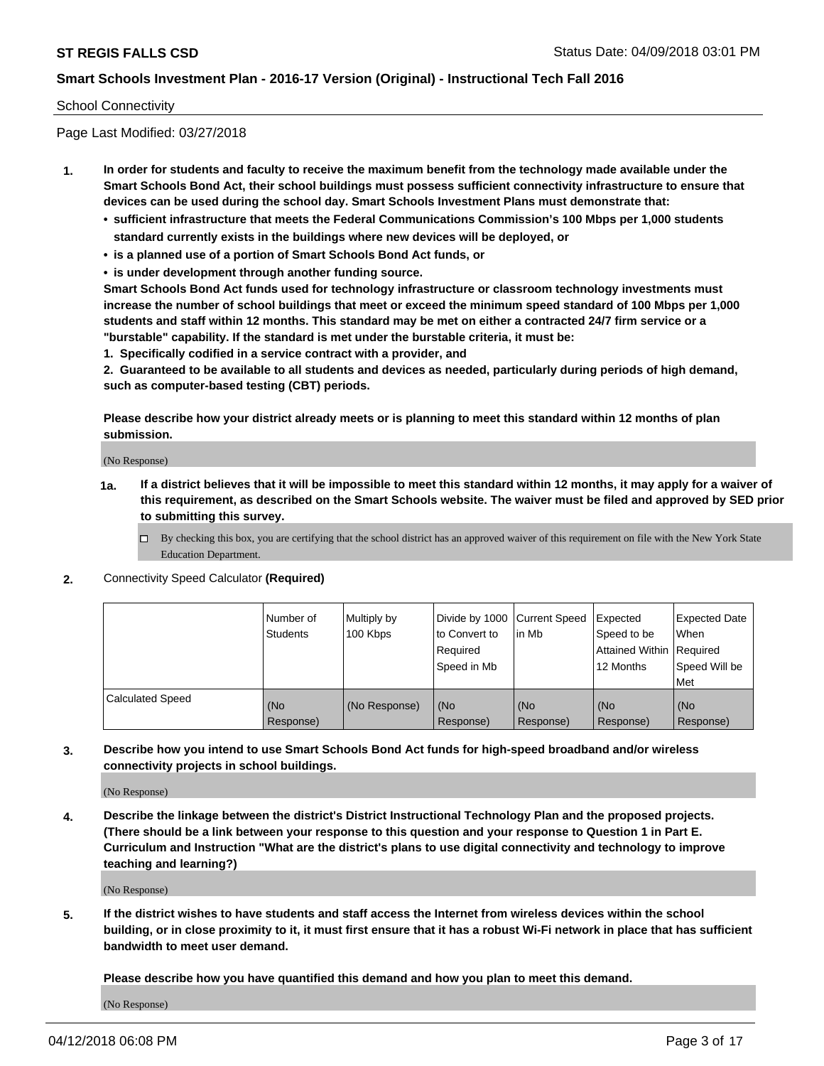#### School Connectivity

Page Last Modified: 03/27/2018

- **1. In order for students and faculty to receive the maximum benefit from the technology made available under the Smart Schools Bond Act, their school buildings must possess sufficient connectivity infrastructure to ensure that devices can be used during the school day. Smart Schools Investment Plans must demonstrate that:**
	- **• sufficient infrastructure that meets the Federal Communications Commission's 100 Mbps per 1,000 students standard currently exists in the buildings where new devices will be deployed, or**
	- **• is a planned use of a portion of Smart Schools Bond Act funds, or**
	- **• is under development through another funding source.**

**Smart Schools Bond Act funds used for technology infrastructure or classroom technology investments must increase the number of school buildings that meet or exceed the minimum speed standard of 100 Mbps per 1,000 students and staff within 12 months. This standard may be met on either a contracted 24/7 firm service or a "burstable" capability. If the standard is met under the burstable criteria, it must be:**

**1. Specifically codified in a service contract with a provider, and**

**2. Guaranteed to be available to all students and devices as needed, particularly during periods of high demand, such as computer-based testing (CBT) periods.**

**Please describe how your district already meets or is planning to meet this standard within 12 months of plan submission.**

(No Response)

- **1a. If a district believes that it will be impossible to meet this standard within 12 months, it may apply for a waiver of this requirement, as described on the Smart Schools website. The waiver must be filed and approved by SED prior to submitting this survey.**
	- By checking this box, you are certifying that the school district has an approved waiver of this requirement on file with the New York State Education Department.
- **2.** Connectivity Speed Calculator **(Required)**

|                         | l Number of<br><b>Students</b> | Multiply by<br>100 Kbps | Divide by 1000 Current Speed<br>to Convert to<br>Required<br>l Speed in Mb | lin Mb           | Expected<br>Speed to be<br>Attained Within Required<br>12 Months | <b>Expected Date</b><br><b>When</b><br>Speed Will be<br>l Met |
|-------------------------|--------------------------------|-------------------------|----------------------------------------------------------------------------|------------------|------------------------------------------------------------------|---------------------------------------------------------------|
| <b>Calculated Speed</b> | (No<br>Response)               | (No Response)           | (No<br>Response)                                                           | (No<br>Response) | (No<br>Response)                                                 | l (No<br>Response)                                            |

**3. Describe how you intend to use Smart Schools Bond Act funds for high-speed broadband and/or wireless connectivity projects in school buildings.**

(No Response)

**4. Describe the linkage between the district's District Instructional Technology Plan and the proposed projects. (There should be a link between your response to this question and your response to Question 1 in Part E. Curriculum and Instruction "What are the district's plans to use digital connectivity and technology to improve teaching and learning?)**

(No Response)

**5. If the district wishes to have students and staff access the Internet from wireless devices within the school building, or in close proximity to it, it must first ensure that it has a robust Wi-Fi network in place that has sufficient bandwidth to meet user demand.**

**Please describe how you have quantified this demand and how you plan to meet this demand.**

(No Response)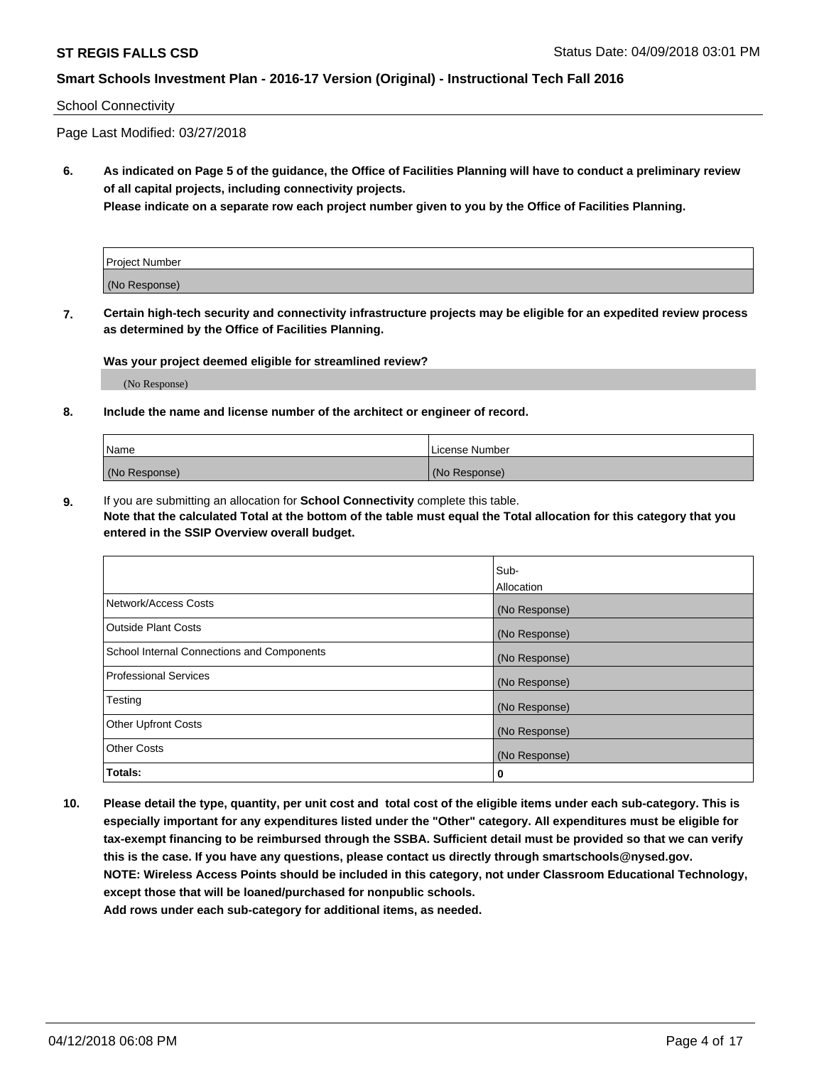#### School Connectivity

Page Last Modified: 03/27/2018

**6. As indicated on Page 5 of the guidance, the Office of Facilities Planning will have to conduct a preliminary review of all capital projects, including connectivity projects.**

**Please indicate on a separate row each project number given to you by the Office of Facilities Planning.**

| Project Number |  |
|----------------|--|
| (No Response)  |  |

**7. Certain high-tech security and connectivity infrastructure projects may be eligible for an expedited review process as determined by the Office of Facilities Planning.**

#### **Was your project deemed eligible for streamlined review?**

(No Response)

#### **8. Include the name and license number of the architect or engineer of record.**

| Name          | License Number |
|---------------|----------------|
| (No Response) | (No Response)  |

**9.** If you are submitting an allocation for **School Connectivity** complete this table.

**Note that the calculated Total at the bottom of the table must equal the Total allocation for this category that you entered in the SSIP Overview overall budget.** 

|                                            | Sub-          |
|--------------------------------------------|---------------|
|                                            | Allocation    |
| Network/Access Costs                       | (No Response) |
| <b>Outside Plant Costs</b>                 | (No Response) |
| School Internal Connections and Components | (No Response) |
| Professional Services                      | (No Response) |
| Testing                                    | (No Response) |
| <b>Other Upfront Costs</b>                 | (No Response) |
| <b>Other Costs</b>                         | (No Response) |
| Totals:                                    | 0             |

**10. Please detail the type, quantity, per unit cost and total cost of the eligible items under each sub-category. This is especially important for any expenditures listed under the "Other" category. All expenditures must be eligible for tax-exempt financing to be reimbursed through the SSBA. Sufficient detail must be provided so that we can verify this is the case. If you have any questions, please contact us directly through smartschools@nysed.gov. NOTE: Wireless Access Points should be included in this category, not under Classroom Educational Technology, except those that will be loaned/purchased for nonpublic schools.**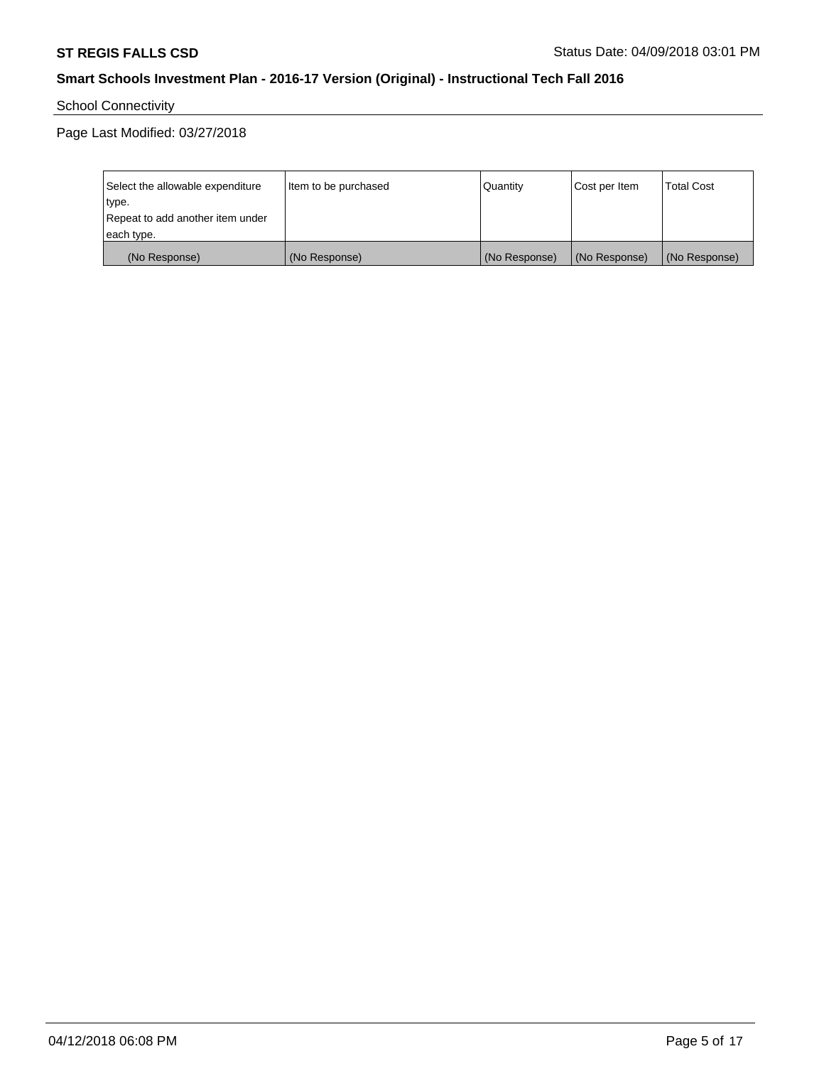School Connectivity

Page Last Modified: 03/27/2018

| Select the allowable expenditure | Item to be purchased | Quantity      | Cost per Item | <b>Total Cost</b> |
|----------------------------------|----------------------|---------------|---------------|-------------------|
| type.                            |                      |               |               |                   |
| Repeat to add another item under |                      |               |               |                   |
| each type.                       |                      |               |               |                   |
| (No Response)                    | (No Response)        | (No Response) | (No Response) | (No Response)     |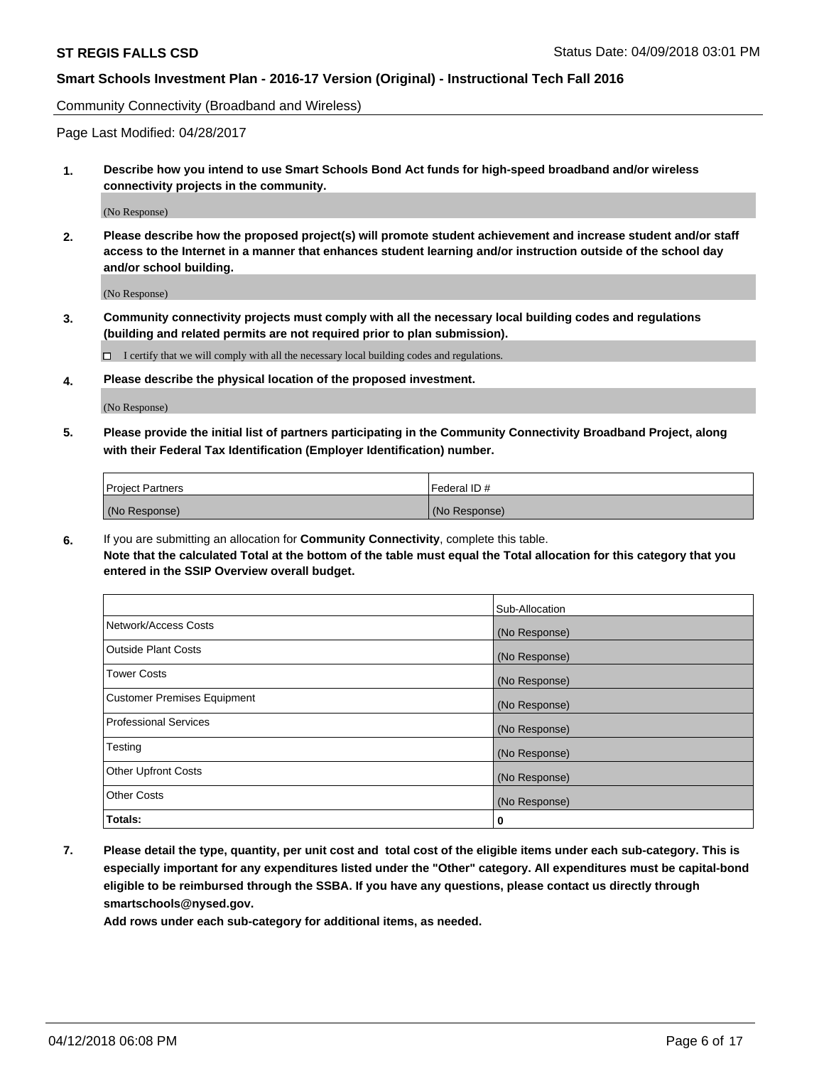Community Connectivity (Broadband and Wireless)

Page Last Modified: 04/28/2017

**1. Describe how you intend to use Smart Schools Bond Act funds for high-speed broadband and/or wireless connectivity projects in the community.**

(No Response)

**2. Please describe how the proposed project(s) will promote student achievement and increase student and/or staff access to the Internet in a manner that enhances student learning and/or instruction outside of the school day and/or school building.**

(No Response)

**3. Community connectivity projects must comply with all the necessary local building codes and regulations (building and related permits are not required prior to plan submission).**

 $\Box$  I certify that we will comply with all the necessary local building codes and regulations.

**4. Please describe the physical location of the proposed investment.**

(No Response)

**5. Please provide the initial list of partners participating in the Community Connectivity Broadband Project, along with their Federal Tax Identification (Employer Identification) number.**

| <b>Project Partners</b> | Federal ID#   |
|-------------------------|---------------|
| (No Response)           | (No Response) |

**6.** If you are submitting an allocation for **Community Connectivity**, complete this table. **Note that the calculated Total at the bottom of the table must equal the Total allocation for this category that you entered in the SSIP Overview overall budget.**

|                                    | Sub-Allocation |
|------------------------------------|----------------|
| Network/Access Costs               | (No Response)  |
| Outside Plant Costs                | (No Response)  |
| <b>Tower Costs</b>                 | (No Response)  |
| <b>Customer Premises Equipment</b> | (No Response)  |
| Professional Services              | (No Response)  |
| Testing                            | (No Response)  |
| <b>Other Upfront Costs</b>         | (No Response)  |
| <b>Other Costs</b>                 | (No Response)  |
| Totals:                            | 0              |

**7. Please detail the type, quantity, per unit cost and total cost of the eligible items under each sub-category. This is especially important for any expenditures listed under the "Other" category. All expenditures must be capital-bond eligible to be reimbursed through the SSBA. If you have any questions, please contact us directly through smartschools@nysed.gov.**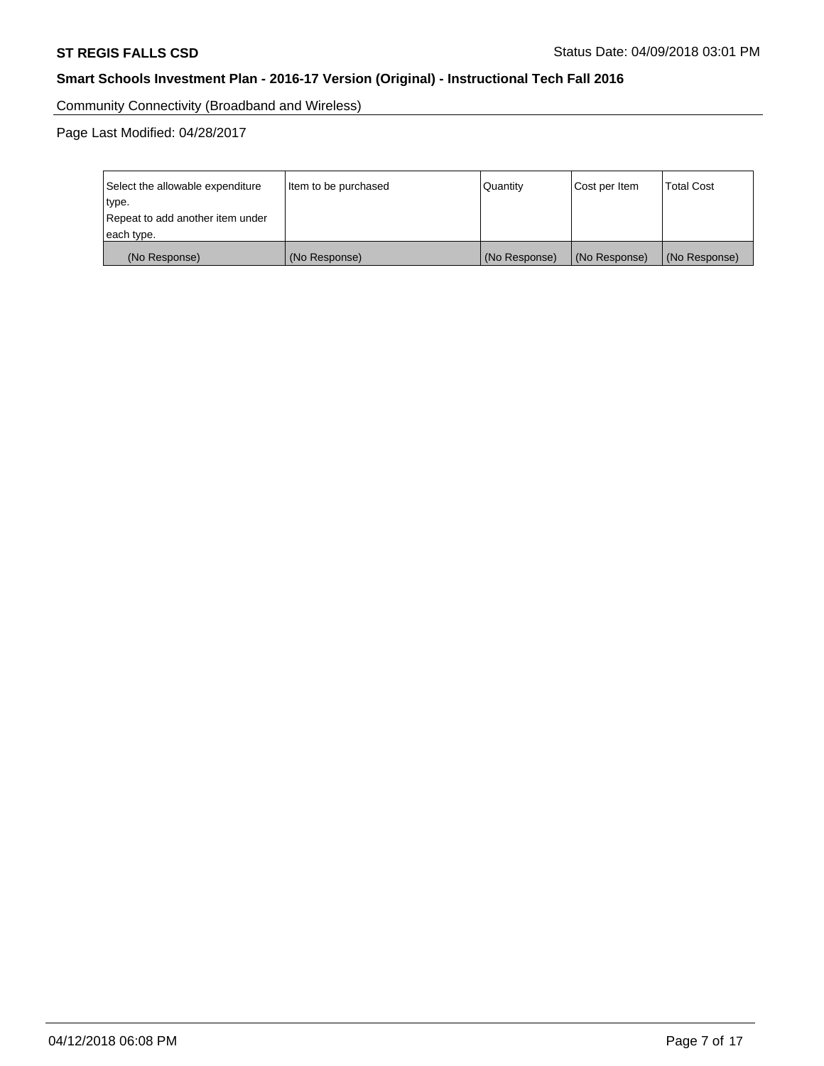Community Connectivity (Broadband and Wireless)

Page Last Modified: 04/28/2017

| Select the allowable expenditure<br>type.<br>Repeat to add another item under | Item to be purchased | Quantity      | Cost per Item | <b>Total Cost</b> |
|-------------------------------------------------------------------------------|----------------------|---------------|---------------|-------------------|
| each type.                                                                    |                      |               |               |                   |
| (No Response)                                                                 | (No Response)        | (No Response) | (No Response) | (No Response)     |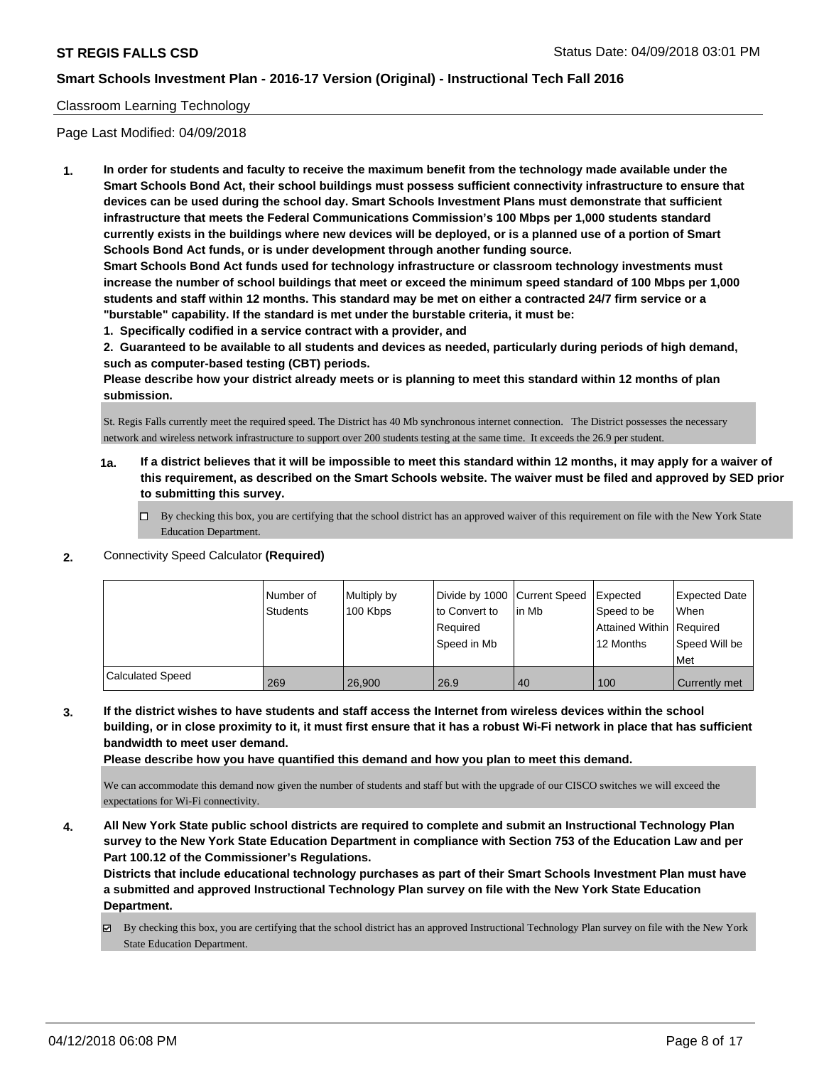### Classroom Learning Technology

Page Last Modified: 04/09/2018

**1. In order for students and faculty to receive the maximum benefit from the technology made available under the Smart Schools Bond Act, their school buildings must possess sufficient connectivity infrastructure to ensure that devices can be used during the school day. Smart Schools Investment Plans must demonstrate that sufficient infrastructure that meets the Federal Communications Commission's 100 Mbps per 1,000 students standard currently exists in the buildings where new devices will be deployed, or is a planned use of a portion of Smart Schools Bond Act funds, or is under development through another funding source.**

**Smart Schools Bond Act funds used for technology infrastructure or classroom technology investments must increase the number of school buildings that meet or exceed the minimum speed standard of 100 Mbps per 1,000 students and staff within 12 months. This standard may be met on either a contracted 24/7 firm service or a "burstable" capability. If the standard is met under the burstable criteria, it must be:**

**1. Specifically codified in a service contract with a provider, and**

**2. Guaranteed to be available to all students and devices as needed, particularly during periods of high demand, such as computer-based testing (CBT) periods.**

**Please describe how your district already meets or is planning to meet this standard within 12 months of plan submission.**

St. Regis Falls currently meet the required speed. The District has 40 Mb synchronous internet connection. The District possesses the necessary network and wireless network infrastructure to support over 200 students testing at the same time. It exceeds the 26.9 per student.

- **1a. If a district believes that it will be impossible to meet this standard within 12 months, it may apply for a waiver of this requirement, as described on the Smart Schools website. The waiver must be filed and approved by SED prior to submitting this survey.**
	- By checking this box, you are certifying that the school district has an approved waiver of this requirement on file with the New York State Education Department.

#### **2.** Connectivity Speed Calculator **(Required)**

|                  | Number of<br><b>Students</b> | Multiply by<br>100 Kbps | Divide by 1000 Current Speed<br>to Convert to<br>Reauired<br>Speed in Mb | l in Mb | Expected<br>Speed to be<br>Attained Within Required<br>12 Months | <b>Expected Date</b><br>When<br>Speed Will be<br><b>Met</b> |
|------------------|------------------------------|-------------------------|--------------------------------------------------------------------------|---------|------------------------------------------------------------------|-------------------------------------------------------------|
| Calculated Speed | 269                          | 26,900                  | 26.9                                                                     | 40      | 100                                                              | Currently met                                               |

**3. If the district wishes to have students and staff access the Internet from wireless devices within the school building, or in close proximity to it, it must first ensure that it has a robust Wi-Fi network in place that has sufficient bandwidth to meet user demand.**

**Please describe how you have quantified this demand and how you plan to meet this demand.**

We can accommodate this demand now given the number of students and staff but with the upgrade of our CISCO switches we will exceed the expectations for Wi-Fi connectivity.

**4. All New York State public school districts are required to complete and submit an Instructional Technology Plan survey to the New York State Education Department in compliance with Section 753 of the Education Law and per Part 100.12 of the Commissioner's Regulations.**

**Districts that include educational technology purchases as part of their Smart Schools Investment Plan must have a submitted and approved Instructional Technology Plan survey on file with the New York State Education Department.**

 $\boxtimes$  By checking this box, you are certifying that the school district has an approved Instructional Technology Plan survey on file with the New York State Education Department.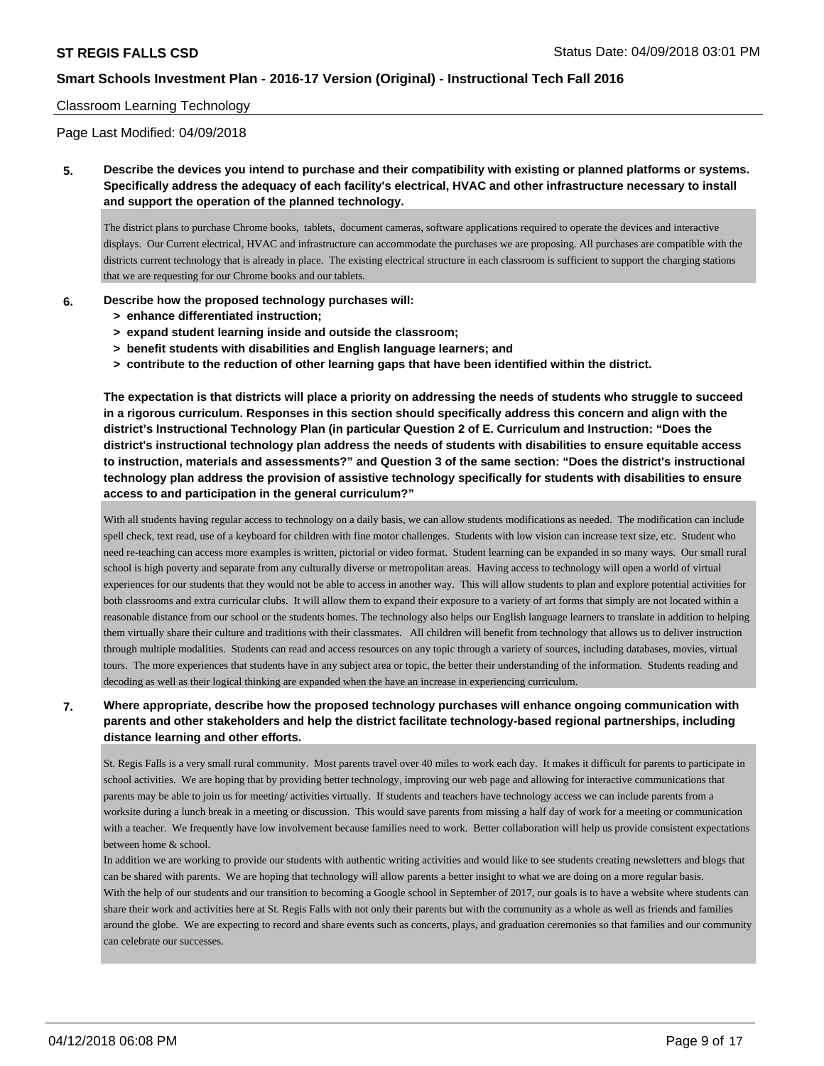#### Classroom Learning Technology

Page Last Modified: 04/09/2018

**5. Describe the devices you intend to purchase and their compatibility with existing or planned platforms or systems. Specifically address the adequacy of each facility's electrical, HVAC and other infrastructure necessary to install and support the operation of the planned technology.**

The district plans to purchase Chrome books, tablets, document cameras, software applications required to operate the devices and interactive displays. Our Current electrical, HVAC and infrastructure can accommodate the purchases we are proposing. All purchases are compatible with the districts current technology that is already in place. The existing electrical structure in each classroom is sufficient to support the charging stations that we are requesting for our Chrome books and our tablets.

#### **6. Describe how the proposed technology purchases will:**

- **> enhance differentiated instruction;**
- **> expand student learning inside and outside the classroom;**
- **> benefit students with disabilities and English language learners; and**
- **> contribute to the reduction of other learning gaps that have been identified within the district.**

**The expectation is that districts will place a priority on addressing the needs of students who struggle to succeed in a rigorous curriculum. Responses in this section should specifically address this concern and align with the district's Instructional Technology Plan (in particular Question 2 of E. Curriculum and Instruction: "Does the district's instructional technology plan address the needs of students with disabilities to ensure equitable access to instruction, materials and assessments?" and Question 3 of the same section: "Does the district's instructional technology plan address the provision of assistive technology specifically for students with disabilities to ensure access to and participation in the general curriculum?"**

With all students having regular access to technology on a daily basis, we can allow students modifications as needed. The modification can include spell check, text read, use of a keyboard for children with fine motor challenges. Students with low vision can increase text size, etc. Student who need re-teaching can access more examples is written, pictorial or video format. Student learning can be expanded in so many ways. Our small rural school is high poverty and separate from any culturally diverse or metropolitan areas. Having access to technology will open a world of virtual experiences for our students that they would not be able to access in another way. This will allow students to plan and explore potential activities for both classrooms and extra curricular clubs. It will allow them to expand their exposure to a variety of art forms that simply are not located within a reasonable distance from our school or the students homes. The technology also helps our English language learners to translate in addition to helping them virtually share their culture and traditions with their classmates. All children will benefit from technology that allows us to deliver instruction through multiple modalities. Students can read and access resources on any topic through a variety of sources, including databases, movies, virtual tours. The more experiences that students have in any subject area or topic, the better their understanding of the information. Students reading and decoding as well as their logical thinking are expanded when the have an increase in experiencing curriculum.

## **7. Where appropriate, describe how the proposed technology purchases will enhance ongoing communication with parents and other stakeholders and help the district facilitate technology-based regional partnerships, including distance learning and other efforts.**

St. Regis Falls is a very small rural community. Most parents travel over 40 miles to work each day. It makes it difficult for parents to participate in school activities. We are hoping that by providing better technology, improving our web page and allowing for interactive communications that parents may be able to join us for meeting/ activities virtually. If students and teachers have technology access we can include parents from a worksite during a lunch break in a meeting or discussion. This would save parents from missing a half day of work for a meeting or communication with a teacher. We frequently have low involvement because families need to work. Better collaboration will help us provide consistent expectations between home & school.

In addition we are working to provide our students with authentic writing activities and would like to see students creating newsletters and blogs that can be shared with parents. We are hoping that technology will allow parents a better insight to what we are doing on a more regular basis. With the help of our students and our transition to becoming a Google school in September of 2017, our goals is to have a website where students can share their work and activities here at St. Regis Falls with not only their parents but with the community as a whole as well as friends and families around the globe. We are expecting to record and share events such as concerts, plays, and graduation ceremonies so that families and our community can celebrate our successes.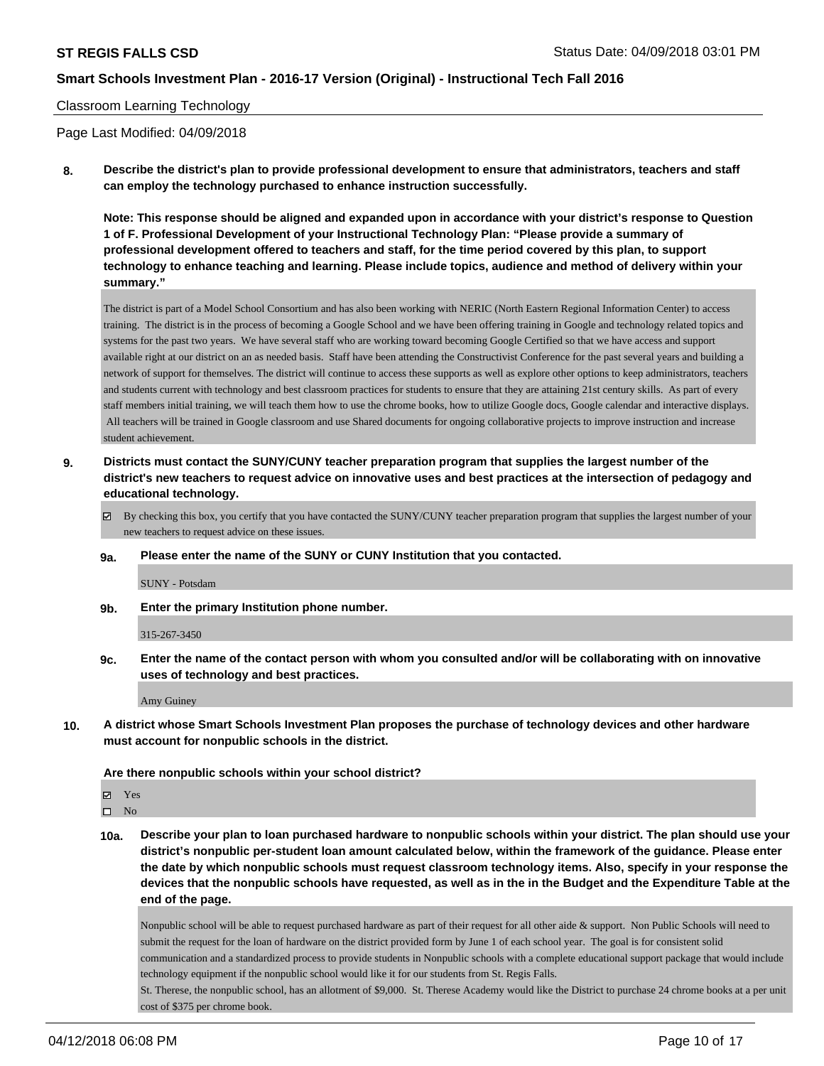### Classroom Learning Technology

Page Last Modified: 04/09/2018

**8. Describe the district's plan to provide professional development to ensure that administrators, teachers and staff can employ the technology purchased to enhance instruction successfully.**

**Note: This response should be aligned and expanded upon in accordance with your district's response to Question 1 of F. Professional Development of your Instructional Technology Plan: "Please provide a summary of professional development offered to teachers and staff, for the time period covered by this plan, to support technology to enhance teaching and learning. Please include topics, audience and method of delivery within your summary."**

The district is part of a Model School Consortium and has also been working with NERIC (North Eastern Regional Information Center) to access training. The district is in the process of becoming a Google School and we have been offering training in Google and technology related topics and systems for the past two years. We have several staff who are working toward becoming Google Certified so that we have access and support available right at our district on an as needed basis. Staff have been attending the Constructivist Conference for the past several years and building a network of support for themselves. The district will continue to access these supports as well as explore other options to keep administrators, teachers and students current with technology and best classroom practices for students to ensure that they are attaining 21st century skills. As part of every staff members initial training, we will teach them how to use the chrome books, how to utilize Google docs, Google calendar and interactive displays. All teachers will be trained in Google classroom and use Shared documents for ongoing collaborative projects to improve instruction and increase student achievement.

**9. Districts must contact the SUNY/CUNY teacher preparation program that supplies the largest number of the district's new teachers to request advice on innovative uses and best practices at the intersection of pedagogy and educational technology.**

By checking this box, you certify that you have contacted the SUNY/CUNY teacher preparation program that supplies the largest number of your new teachers to request advice on these issues.

**9a. Please enter the name of the SUNY or CUNY Institution that you contacted.**

SUNY - Potsdam

**9b. Enter the primary Institution phone number.**

315-267-3450

**9c. Enter the name of the contact person with whom you consulted and/or will be collaborating with on innovative uses of technology and best practices.**

Amy Guiney

**10. A district whose Smart Schools Investment Plan proposes the purchase of technology devices and other hardware must account for nonpublic schools in the district.**

#### **Are there nonpublic schools within your school district?**

Yes

 $\square$  No

**10a. Describe your plan to loan purchased hardware to nonpublic schools within your district. The plan should use your district's nonpublic per-student loan amount calculated below, within the framework of the guidance. Please enter the date by which nonpublic schools must request classroom technology items. Also, specify in your response the devices that the nonpublic schools have requested, as well as in the in the Budget and the Expenditure Table at the end of the page.**

Nonpublic school will be able to request purchased hardware as part of their request for all other aide & support. Non Public Schools will need to submit the request for the loan of hardware on the district provided form by June 1 of each school year. The goal is for consistent solid communication and a standardized process to provide students in Nonpublic schools with a complete educational support package that would include technology equipment if the nonpublic school would like it for our students from St. Regis Falls.

St. Therese, the nonpublic school, has an allotment of \$9,000. St. Therese Academy would like the District to purchase 24 chrome books at a per unit cost of \$375 per chrome book.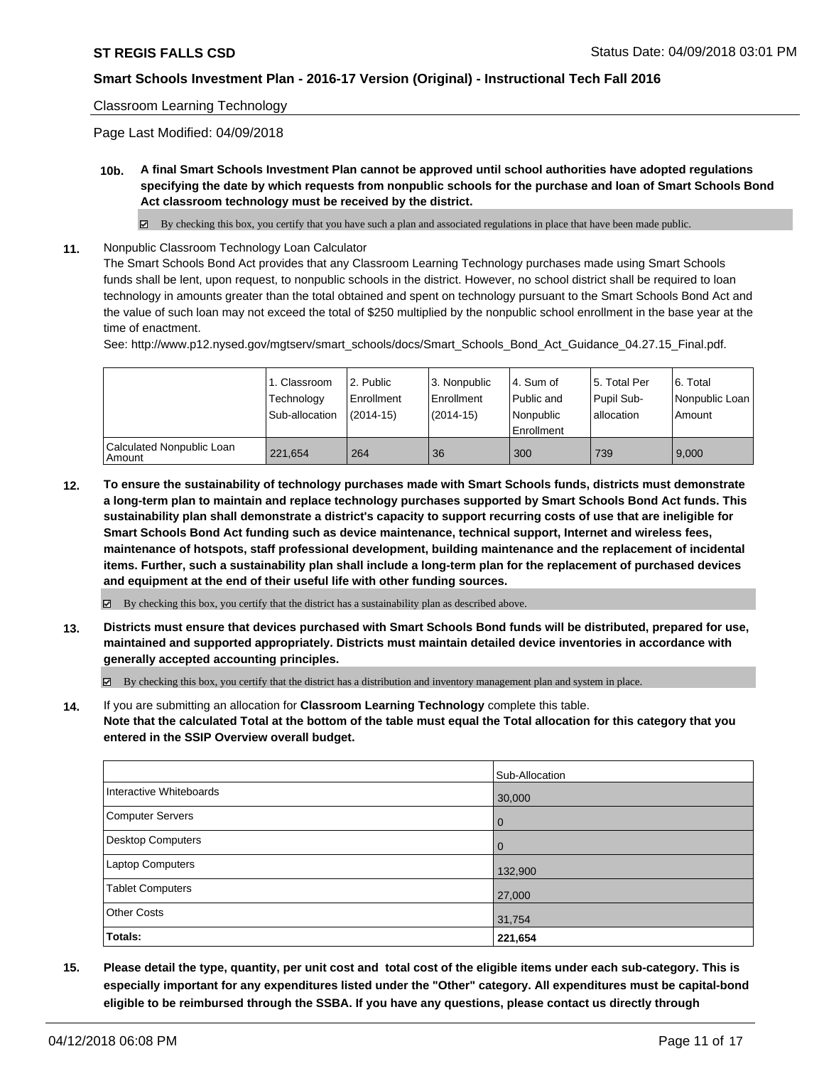#### Classroom Learning Technology

Page Last Modified: 04/09/2018

**10b. A final Smart Schools Investment Plan cannot be approved until school authorities have adopted regulations specifying the date by which requests from nonpublic schools for the purchase and loan of Smart Schools Bond Act classroom technology must be received by the district.**

 $\boxtimes$  By checking this box, you certify that you have such a plan and associated regulations in place that have been made public.

**11.** Nonpublic Classroom Technology Loan Calculator

The Smart Schools Bond Act provides that any Classroom Learning Technology purchases made using Smart Schools funds shall be lent, upon request, to nonpublic schools in the district. However, no school district shall be required to loan technology in amounts greater than the total obtained and spent on technology pursuant to the Smart Schools Bond Act and the value of such loan may not exceed the total of \$250 multiplied by the nonpublic school enrollment in the base year at the time of enactment.

See: http://www.p12.nysed.gov/mgtserv/smart\_schools/docs/Smart\_Schools\_Bond\_Act\_Guidance\_04.27.15\_Final.pdf.

|                                     | 1. Classroom<br>Technology<br>Sub-allocation | l 2. Public<br>l Enrollment<br>$(2014-15)$ | l 3. Nonpublic<br>Enrollment<br>(2014-15) | l 4. Sum of<br>Public and<br>l Nonpublic<br>Enrollment | 15. Total Per<br>Pupil Sub-<br>lallocation | l 6. Total<br>Nonpublic Loan<br>Amount |
|-------------------------------------|----------------------------------------------|--------------------------------------------|-------------------------------------------|--------------------------------------------------------|--------------------------------------------|----------------------------------------|
| Calculated Nonpublic Loan<br>Amount | 221.654                                      | 264                                        | 36                                        | 300                                                    | 739                                        | 9.000                                  |

**12. To ensure the sustainability of technology purchases made with Smart Schools funds, districts must demonstrate a long-term plan to maintain and replace technology purchases supported by Smart Schools Bond Act funds. This sustainability plan shall demonstrate a district's capacity to support recurring costs of use that are ineligible for Smart Schools Bond Act funding such as device maintenance, technical support, Internet and wireless fees, maintenance of hotspots, staff professional development, building maintenance and the replacement of incidental items. Further, such a sustainability plan shall include a long-term plan for the replacement of purchased devices and equipment at the end of their useful life with other funding sources.**

 $\boxtimes$  By checking this box, you certify that the district has a sustainability plan as described above.

**13. Districts must ensure that devices purchased with Smart Schools Bond funds will be distributed, prepared for use, maintained and supported appropriately. Districts must maintain detailed device inventories in accordance with generally accepted accounting principles.**

By checking this box, you certify that the district has a distribution and inventory management plan and system in place.

**14.** If you are submitting an allocation for **Classroom Learning Technology** complete this table. **Note that the calculated Total at the bottom of the table must equal the Total allocation for this category that you entered in the SSIP Overview overall budget.**

|                         | Sub-Allocation |
|-------------------------|----------------|
| Interactive Whiteboards | 30,000         |
| Computer Servers        | 0              |
| Desktop Computers       | $\Omega$       |
| Laptop Computers        | 132,900        |
| Tablet Computers        | 27,000         |
| <b>Other Costs</b>      | 31,754         |
| Totals:                 | 221,654        |

**15. Please detail the type, quantity, per unit cost and total cost of the eligible items under each sub-category. This is especially important for any expenditures listed under the "Other" category. All expenditures must be capital-bond eligible to be reimbursed through the SSBA. If you have any questions, please contact us directly through**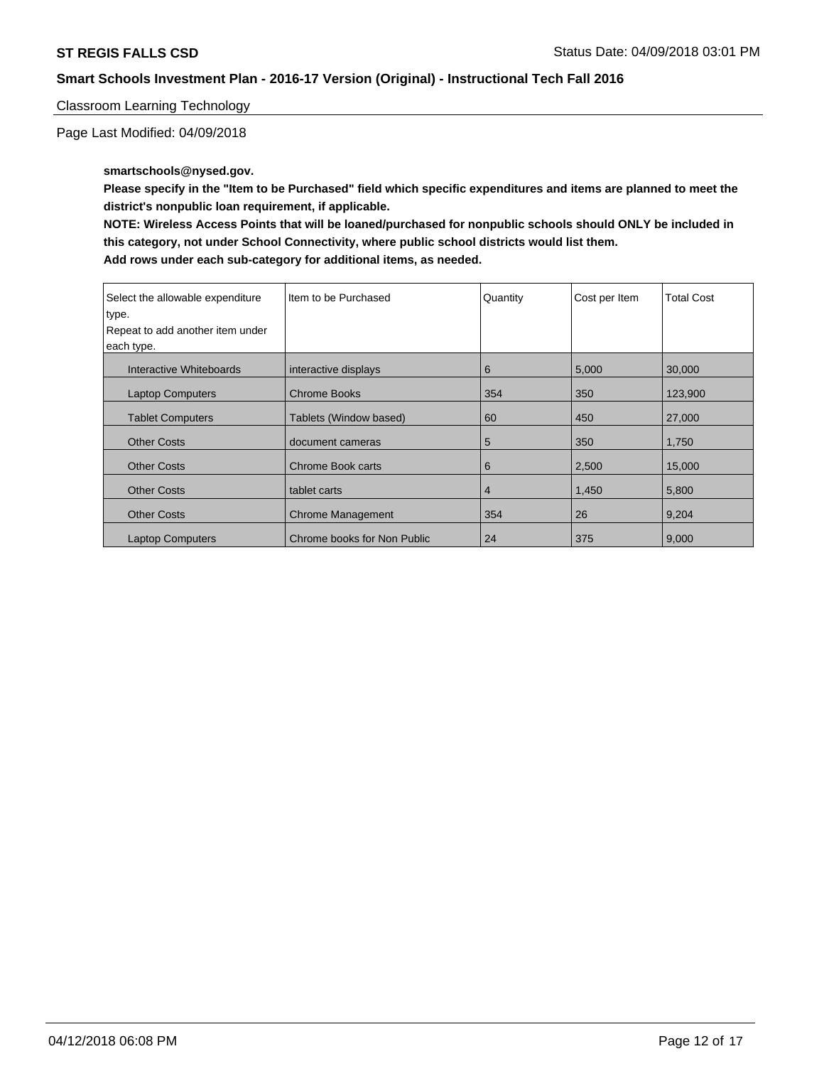Classroom Learning Technology

Page Last Modified: 04/09/2018

**smartschools@nysed.gov.**

**Please specify in the "Item to be Purchased" field which specific expenditures and items are planned to meet the district's nonpublic loan requirement, if applicable.**

**NOTE: Wireless Access Points that will be loaned/purchased for nonpublic schools should ONLY be included in this category, not under School Connectivity, where public school districts would list them. Add rows under each sub-category for additional items, as needed.**

| Select the allowable expenditure<br>type.<br>Repeat to add another item under<br>each type. | Item to be Purchased        | Quantity | Cost per Item | <b>Total Cost</b> |
|---------------------------------------------------------------------------------------------|-----------------------------|----------|---------------|-------------------|
| Interactive Whiteboards                                                                     | interactive displays        | 6        | 5,000         | 30,000            |
| <b>Laptop Computers</b>                                                                     | Chrome Books                | 354      | 350           | 123,900           |
| <b>Tablet Computers</b>                                                                     | Tablets (Window based)      | 60       | 450           | 27,000            |
| <b>Other Costs</b>                                                                          | document cameras            | 5        | 350           | 1,750             |
| <b>Other Costs</b>                                                                          | Chrome Book carts           | 6        | 2,500         | 15,000            |
| <b>Other Costs</b>                                                                          | tablet carts                | 4        | 1,450         | 5,800             |
| <b>Other Costs</b>                                                                          | <b>Chrome Management</b>    | 354      | 26            | 9,204             |
| <b>Laptop Computers</b>                                                                     | Chrome books for Non Public | 24       | 375           | 9,000             |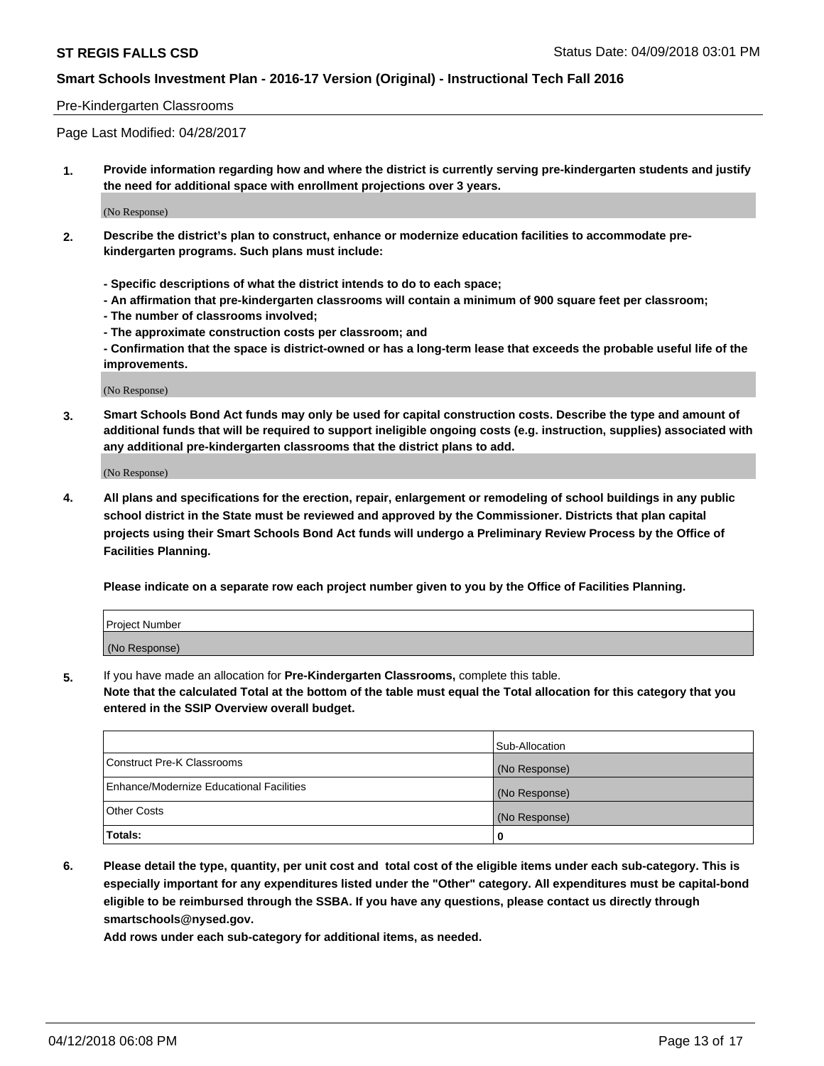#### Pre-Kindergarten Classrooms

Page Last Modified: 04/28/2017

**1. Provide information regarding how and where the district is currently serving pre-kindergarten students and justify the need for additional space with enrollment projections over 3 years.**

(No Response)

- **2. Describe the district's plan to construct, enhance or modernize education facilities to accommodate prekindergarten programs. Such plans must include:**
	- **Specific descriptions of what the district intends to do to each space;**
	- **An affirmation that pre-kindergarten classrooms will contain a minimum of 900 square feet per classroom;**
	- **The number of classrooms involved;**
	- **The approximate construction costs per classroom; and**
	- **Confirmation that the space is district-owned or has a long-term lease that exceeds the probable useful life of the improvements.**

(No Response)

**3. Smart Schools Bond Act funds may only be used for capital construction costs. Describe the type and amount of additional funds that will be required to support ineligible ongoing costs (e.g. instruction, supplies) associated with any additional pre-kindergarten classrooms that the district plans to add.**

(No Response)

**4. All plans and specifications for the erection, repair, enlargement or remodeling of school buildings in any public school district in the State must be reviewed and approved by the Commissioner. Districts that plan capital projects using their Smart Schools Bond Act funds will undergo a Preliminary Review Process by the Office of Facilities Planning.**

**Please indicate on a separate row each project number given to you by the Office of Facilities Planning.**

| <b>Project Number</b> |  |
|-----------------------|--|
| (No Response)         |  |

**5.** If you have made an allocation for **Pre-Kindergarten Classrooms,** complete this table.

**Note that the calculated Total at the bottom of the table must equal the Total allocation for this category that you entered in the SSIP Overview overall budget.**

|                                          | Sub-Allocation |
|------------------------------------------|----------------|
| Construct Pre-K Classrooms               | (No Response)  |
| Enhance/Modernize Educational Facilities | (No Response)  |
| Other Costs                              | (No Response)  |
| Totals:                                  | 0              |

**6. Please detail the type, quantity, per unit cost and total cost of the eligible items under each sub-category. This is especially important for any expenditures listed under the "Other" category. All expenditures must be capital-bond eligible to be reimbursed through the SSBA. If you have any questions, please contact us directly through smartschools@nysed.gov.**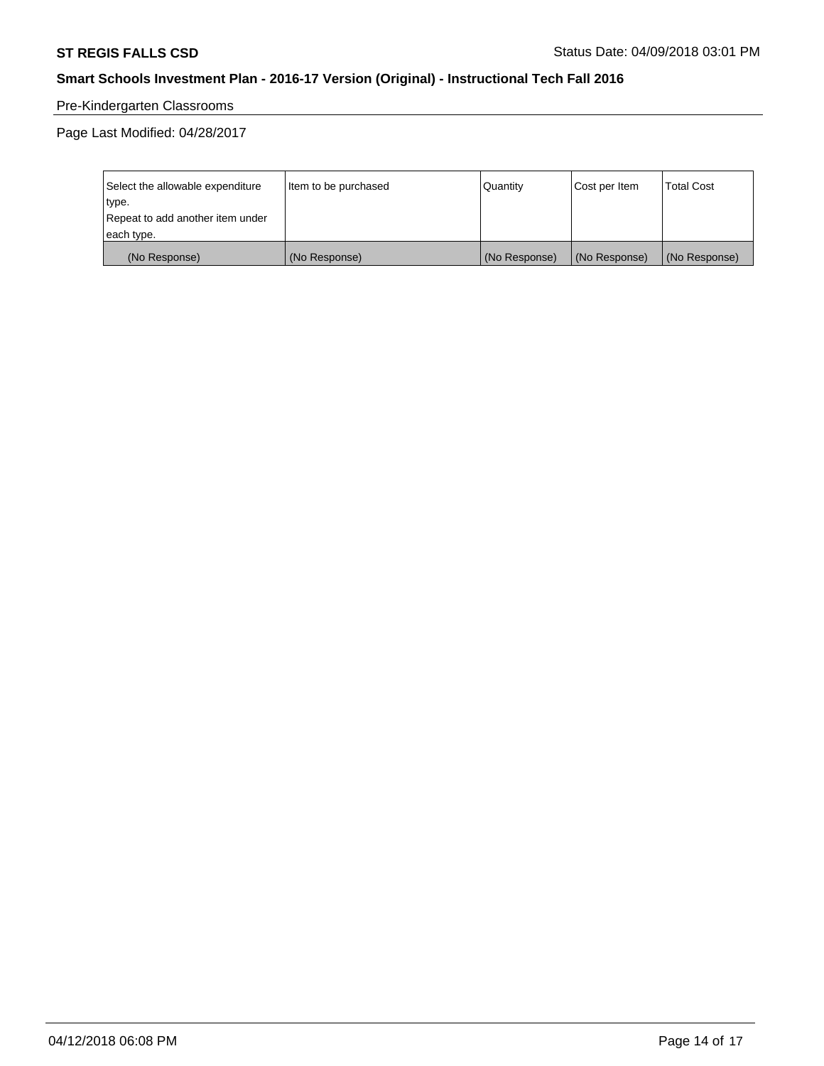# Pre-Kindergarten Classrooms

Page Last Modified: 04/28/2017

| Select the allowable expenditure | Item to be purchased | Quantity      | Cost per Item | <b>Total Cost</b> |
|----------------------------------|----------------------|---------------|---------------|-------------------|
| type.                            |                      |               |               |                   |
| Repeat to add another item under |                      |               |               |                   |
| each type.                       |                      |               |               |                   |
| (No Response)                    | (No Response)        | (No Response) | (No Response) | (No Response)     |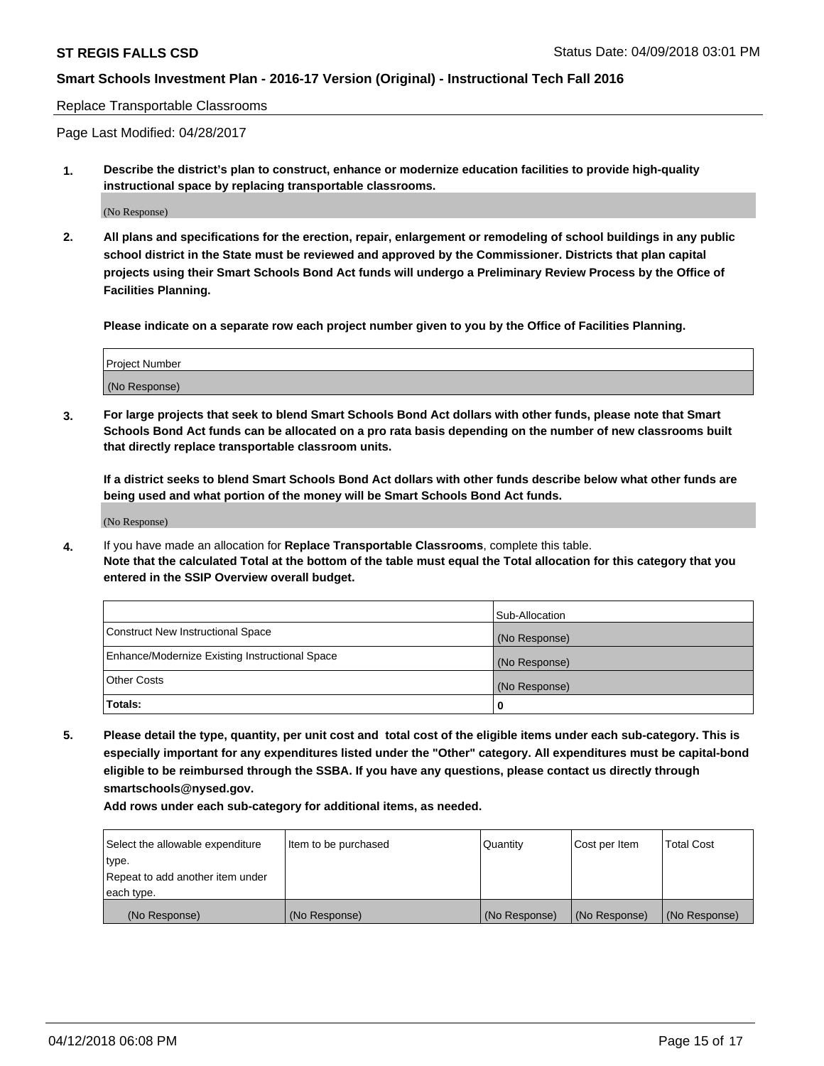Replace Transportable Classrooms

Page Last Modified: 04/28/2017

**1. Describe the district's plan to construct, enhance or modernize education facilities to provide high-quality instructional space by replacing transportable classrooms.**

(No Response)

**2. All plans and specifications for the erection, repair, enlargement or remodeling of school buildings in any public school district in the State must be reviewed and approved by the Commissioner. Districts that plan capital projects using their Smart Schools Bond Act funds will undergo a Preliminary Review Process by the Office of Facilities Planning.**

**Please indicate on a separate row each project number given to you by the Office of Facilities Planning.**

| <b>Project Number</b> |  |
|-----------------------|--|
| (No Response)         |  |
|                       |  |

**3. For large projects that seek to blend Smart Schools Bond Act dollars with other funds, please note that Smart Schools Bond Act funds can be allocated on a pro rata basis depending on the number of new classrooms built that directly replace transportable classroom units.**

**If a district seeks to blend Smart Schools Bond Act dollars with other funds describe below what other funds are being used and what portion of the money will be Smart Schools Bond Act funds.**

(No Response)

**4.** If you have made an allocation for **Replace Transportable Classrooms**, complete this table. **Note that the calculated Total at the bottom of the table must equal the Total allocation for this category that you entered in the SSIP Overview overall budget.**

|                                                | Sub-Allocation |
|------------------------------------------------|----------------|
| Construct New Instructional Space              | (No Response)  |
| Enhance/Modernize Existing Instructional Space | (No Response)  |
| Other Costs                                    | (No Response)  |
| Totals:                                        | 0              |

**5. Please detail the type, quantity, per unit cost and total cost of the eligible items under each sub-category. This is especially important for any expenditures listed under the "Other" category. All expenditures must be capital-bond eligible to be reimbursed through the SSBA. If you have any questions, please contact us directly through smartschools@nysed.gov.**

| Select the allowable expenditure | Item to be purchased | Quantity      | Cost per Item | <b>Total Cost</b> |
|----------------------------------|----------------------|---------------|---------------|-------------------|
| type.                            |                      |               |               |                   |
| Repeat to add another item under |                      |               |               |                   |
| each type.                       |                      |               |               |                   |
| (No Response)                    | (No Response)        | (No Response) | (No Response) | (No Response)     |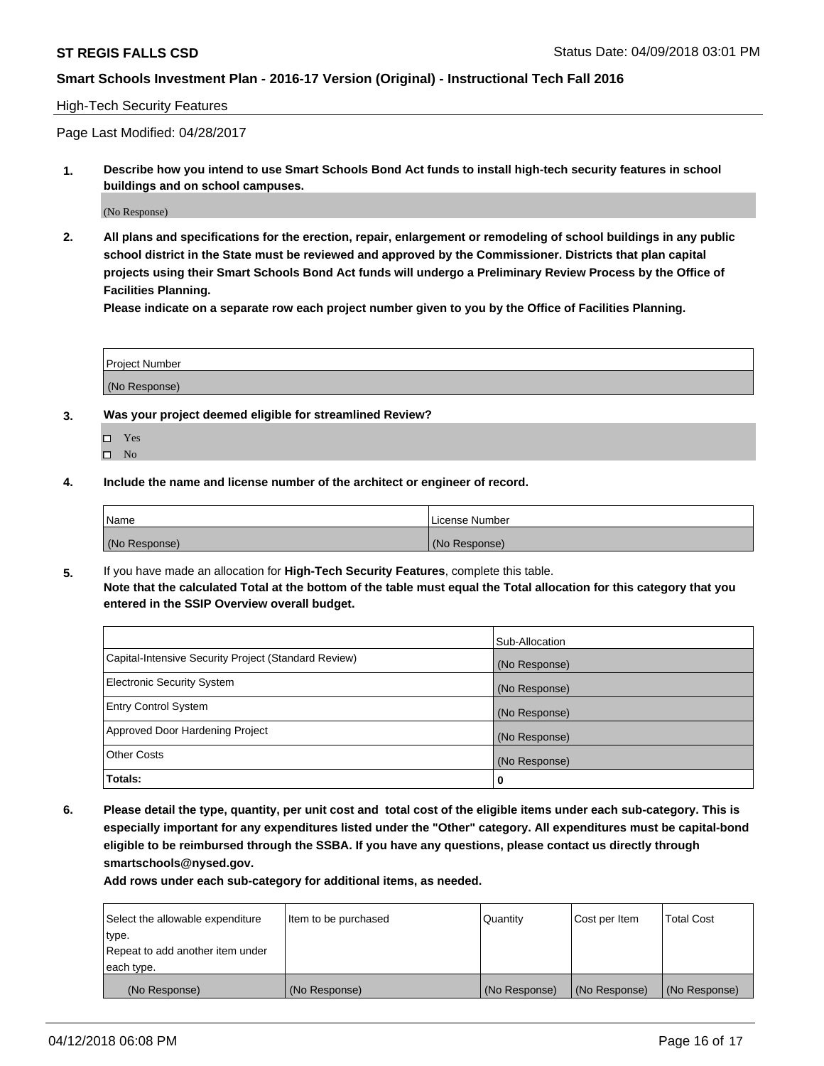#### High-Tech Security Features

Page Last Modified: 04/28/2017

**1. Describe how you intend to use Smart Schools Bond Act funds to install high-tech security features in school buildings and on school campuses.**

(No Response)

**2. All plans and specifications for the erection, repair, enlargement or remodeling of school buildings in any public school district in the State must be reviewed and approved by the Commissioner. Districts that plan capital projects using their Smart Schools Bond Act funds will undergo a Preliminary Review Process by the Office of Facilities Planning.** 

**Please indicate on a separate row each project number given to you by the Office of Facilities Planning.**

| <b>Project Number</b> |  |  |
|-----------------------|--|--|
|                       |  |  |
| (No Response)         |  |  |

- **3. Was your project deemed eligible for streamlined Review?**
	- Yes  $\square$  No
- **4. Include the name and license number of the architect or engineer of record.**

| l Name        | License Number |
|---------------|----------------|
| (No Response) | (No Response)  |

**5.** If you have made an allocation for **High-Tech Security Features**, complete this table. **Note that the calculated Total at the bottom of the table must equal the Total allocation for this category that you entered in the SSIP Overview overall budget.**

|                                                      | Sub-Allocation |
|------------------------------------------------------|----------------|
| Capital-Intensive Security Project (Standard Review) | (No Response)  |
| <b>Electronic Security System</b>                    | (No Response)  |
| <b>Entry Control System</b>                          | (No Response)  |
| Approved Door Hardening Project                      | (No Response)  |
| <b>Other Costs</b>                                   | (No Response)  |
| Totals:                                              | 0              |

**6. Please detail the type, quantity, per unit cost and total cost of the eligible items under each sub-category. This is especially important for any expenditures listed under the "Other" category. All expenditures must be capital-bond eligible to be reimbursed through the SSBA. If you have any questions, please contact us directly through smartschools@nysed.gov.**

| Select the allowable expenditure | Item to be purchased | Quantity      | Cost per Item | <b>Total Cost</b> |
|----------------------------------|----------------------|---------------|---------------|-------------------|
| type.                            |                      |               |               |                   |
| Repeat to add another item under |                      |               |               |                   |
| each type.                       |                      |               |               |                   |
| (No Response)                    | (No Response)        | (No Response) | (No Response) | (No Response)     |